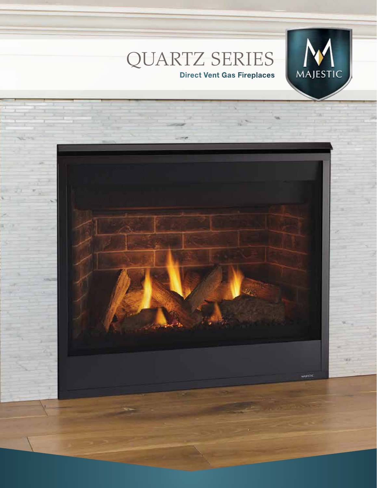

# QUARTZ SERIES **Direct Vent Gas Fireplaces**

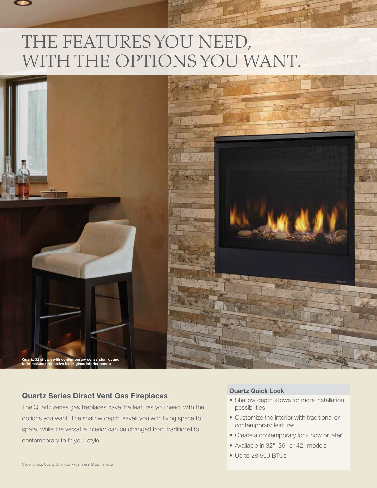# THE FEATURES YOU NEED, WITH THE OPTIONS YOU WANT.



## **Quartz Series Direct Vent Gas Fireplaces**

The Quartz series gas fireplaces have the features you need, with the options you want. The shallow depth leaves you with living space to spare, while the versatile interior can be changed from traditional to contemporary to fit your style.

#### **Quartz Quick Look**

- Shallow depth allows for more installation possibilities
- Customize the interior with traditional or contemporary features
- Create a contemporary look now or later<sup>1</sup>
- Available in 32", 36" or 42" models
- Up to 28,500 BTUs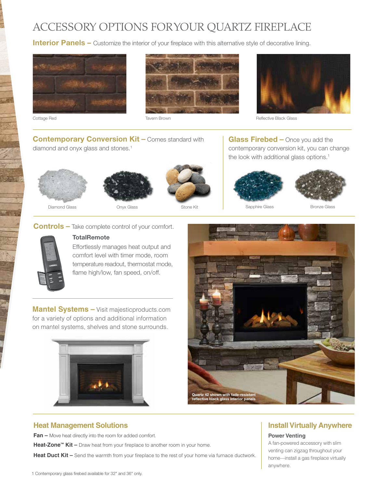# ACCESSORY OPTIONS FOR YOUR QUARTZ FIREPLACE

**Interior Panels –** Customize the interior of your fireplace with this alternative style of decorative lining.









Cottage Red **Tavern Brown** Reflective Black Glass Cottage Reflective Black Glass

**Contemporary Conversion Kit –** Comes standard with

diamond and onyx glass and stones.<sup>1</sup>







**Glass Firebed –** Once you add the contemporary conversion kit, you can change the look with additional glass options.<sup>1</sup>







#### **Controls –** Take complete control of your comfort.



## **TotalRemote**

Effortlessly manages heat output and comfort level with timer mode, room temperature readout, thermostat mode, flame high/low, fan speed, on/off.

**Mantel Systems –** Visit majesticproducts.com for a variety of options and additional information on mantel systems, shelves and stone surrounds.





### **Heat Management Solutions**

**Fan –** Move heat directly into the room for added comfort.

**Heat-Zone™ Kit –** Draw heat from your fireplace to another room in your home.

Heat Duct Kit – Send the warmth from your fireplace to the rest of your home via furnace ductwork.

# **Install Virtually Anywhere**

#### **Power Venting**

A fan-powered accessory with slim venting can zigzag throughout your home—install a gas fireplace virtually anywhere.